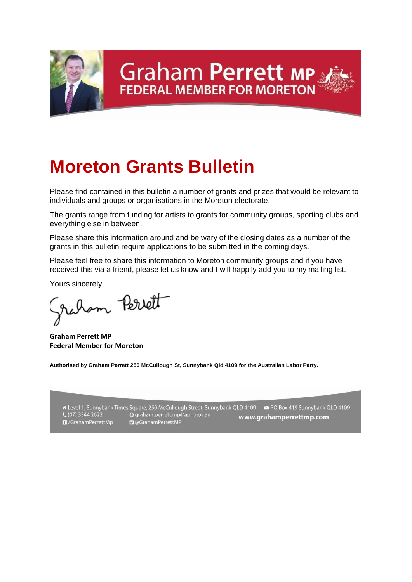

# **Moreton Grants Bulletin**

Please find contained in this bulletin a number of grants and prizes that would be relevant to individuals and groups or organisations in the Moreton electorate.

The grants range from funding for artists to grants for community groups, sporting clubs and everything else in between.

Please share this information around and be wary of the closing dates as a number of the grants in this bulletin require applications to be submitted in the coming days.

Please feel free to share this information to Moreton community groups and if you have received this via a friend, please let us know and I will happily add you to my mailing list.

Yours sincerely

aham Perrett

**Graham Perrett MP Federal Member for Moreton**

**Authorised by Graham Perrett 250 McCullough St, Sunnybank Qld 4109 for the Australian Labor Party.** 

PO Box 419 Sunnybank QLD 4109 www.grahamperrettmp.com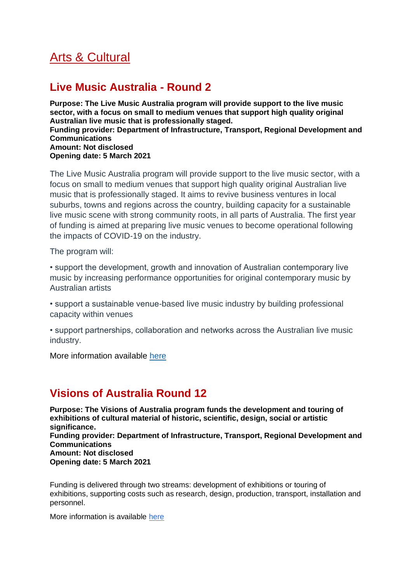# Arts & Cultural

# **Live Music Australia - Round 2**

**Purpose: The Live Music Australia program will provide support to the live music sector, with a focus on small to medium venues that support high quality original Australian live music that is professionally staged. Funding provider: Department of Infrastructure, Transport, Regional Development and Communications Amount: Not disclosed Opening date: 5 March 2021**

The Live Music Australia program will provide support to the live music sector, with a focus on small to medium venues that support high quality original Australian live music that is professionally staged. It aims to revive business ventures in local suburbs, towns and regions across the country, building capacity for a sustainable live music scene with strong community roots, in all parts of Australia. The first year of funding is aimed at preparing live music venues to become operational following the impacts of COVID-19 on the industry.

The program will:

• support the development, growth and innovation of Australian contemporary live music by increasing performance opportunities for original contemporary music by Australian artists

• support a sustainable venue-based live music industry by building professional capacity within venues

• support partnerships, collaboration and networks across the Australian live music industry.

More information available [here](https://www.grants.gov.au/Go/Show?GoUuid=c0cdd947-e948-45e7-ae96-2eb1acefff01)

# **Visions of Australia Round 12**

**Purpose: The Visions of Australia program funds the development and touring of exhibitions of cultural material of historic, scientific, design, social or artistic significance. Funding provider: Department of Infrastructure, Transport, Regional Development and Communications Amount: Not disclosed Opening date: 5 March 2021**

Funding is delivered through two streams: development of exhibitions or touring of exhibitions, supporting costs such as research, design, production, transport, installation and personnel.

More information is available [here](https://www.grants.gov.au/Go/Show?GoUuid=c6897bd0-e583-40e8-909a-6bcfd3a62fa1)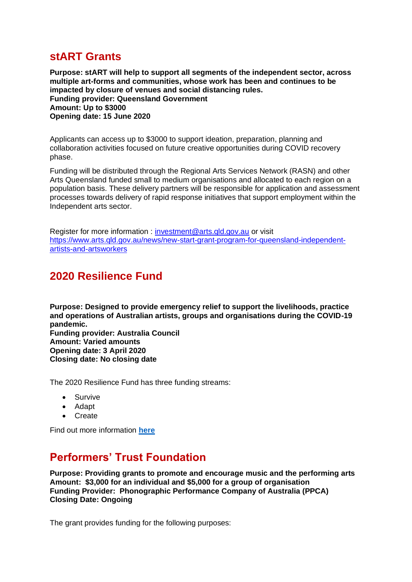### **stART Grants**

**Purpose: stART will help to support all segments of the independent sector, across multiple art-forms and communities, whose work has been and continues to be impacted by closure of venues and social distancing rules. Funding provider: Queensland Government Amount: Up to \$3000 Opening date: 15 June 2020**

Applicants can access up to \$3000 to support ideation, preparation, planning and collaboration activities focused on future creative opportunities during COVID recovery phase.

Funding will be distributed through the Regional Arts Services Network (RASN) and other Arts Queensland funded small to medium organisations and allocated to each region on a population basis. These delivery partners will be responsible for application and assessment processes towards delivery of rapid response initiatives that support employment within the Independent arts sector.

Register for more information : [investment@arts.qld.gov.au](mailto:investment@arts.qld.gov.au) or visit [https://www.arts.qld.gov.au/news/new-start-grant-program-for-queensland-independent](https://www.arts.qld.gov.au/news/new-start-grant-program-for-queensland-independent-artists-and-artsworkers)[artists-and-artsworkers](https://www.arts.qld.gov.au/news/new-start-grant-program-for-queensland-independent-artists-and-artsworkers)

# **2020 Resilience Fund**

**Purpose: Designed to provide emergency relief to support the livelihoods, practice and operations of Australian artists, groups and organisations during the COVID-19 pandemic. Funding provider: Australia Council Amount: Varied amounts Opening date: 3 April 2020 Closing date: No closing date**

The 2020 Resilience Fund has three funding streams:

- Survive
- Adapt
- Create

Find out more information **[here](https://www.australiacouncil.gov.au/funding/funding-index/2020-resilience-fund/)**

# **Performers' Trust Foundation**

**Purpose: Providing grants to promote and encourage music and the performing arts Amount: \$3,000 for an individual and \$5,000 for a group of organisation Funding Provider: Phonographic Performance Company of Australia (PPCA) Closing Date: Ongoing**

The grant provides funding for the following purposes: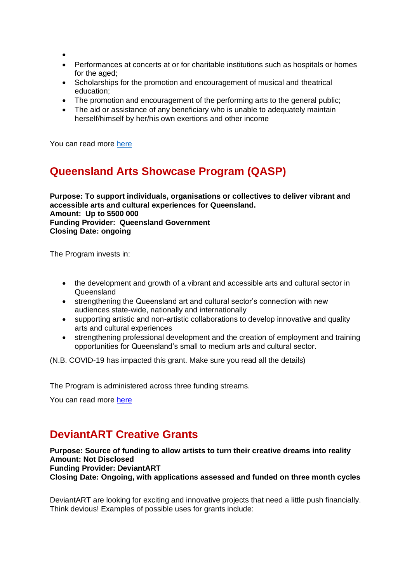- •
- Performances at concerts at or for charitable institutions such as hospitals or homes for the aged;
- Scholarships for the promotion and encouragement of musical and theatrical education;
- The promotion and encouragement of the performing arts to the general public;
- The aid or assistance of any beneficiary who is unable to adequately maintain herself/himself by her/his own exertions and other income

You can read more [here](http://www.ppca.com.au/ppca-about-us/ppca-performers-trust-foundation/)

# **Queensland Arts Showcase Program (QASP)**

**Purpose: To support individuals, organisations or collectives to deliver vibrant and accessible arts and cultural experiences for Queensland. Amount: Up to \$500 000 Funding Provider: Queensland Government Closing Date: ongoing**

The Program invests in:

- the development and growth of a vibrant and accessible arts and cultural sector in Queensland
- strengthening the Queensland art and cultural sector's connection with new audiences state-wide, nationally and internationally
- supporting artistic and non-artistic collaborations to develop innovative and quality arts and cultural experiences
- strengthening professional development and the creation of employment and training opportunities for Queensland's small to medium arts and cultural sector.

(N.B. COVID-19 has impacted this grant. Make sure you read all the details)

The Program is administered across three funding streams.

You can read more [here](https://www.qld.gov.au/recreation/arts/funding/organisations/arts-showcase/)

# **DeviantART Creative Grants**

**Purpose: Source of funding to allow artists to turn their creative dreams into reality Amount: Not Disclosed Funding Provider: DeviantART**

**Closing Date: Ongoing, with applications assessed and funded on three month cycles**

DeviantART are looking for exciting and innovative projects that need a little push financially. Think devious! Examples of possible uses for grants include: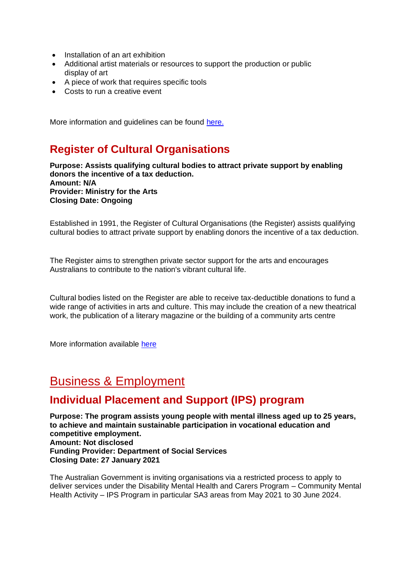- Installation of an art exhibition
- Additional artist materials or resources to support the production or public display of art
- A piece of work that requires specific tools
- Costs to run a creative event

More information and guidelines can be found [here.](http://st.deviantart.net/news/creative-grant/the-creative-grant-guidelines.html)

# **Register of Cultural Organisations**

**Purpose: Assists qualifying cultural bodies to attract private support by enabling donors the incentive of a tax deduction. Amount: N/A Provider: Ministry for the Arts Closing Date: Ongoing**

Established in 1991, the Register of Cultural Organisations (the Register) assists qualifying cultural bodies to attract private support by enabling donors the incentive of a tax deduction.

The Register aims to strengthen private sector support for the arts and encourages Australians to contribute to the nation's vibrant cultural life.

Cultural bodies listed on the Register are able to receive tax-deductible donations to fund a wide range of activities in arts and culture. This may include the creation of a new theatrical work, the publication of a literary magazine or the building of a community arts centre

More information available [here](http://arts.gov.au/roco)

# Business & Employment

### **Individual Placement and Support (IPS) program**

**Purpose: The program assists young people with mental illness aged up to 25 years, to achieve and maintain sustainable participation in vocational education and competitive employment. Amount: Not disclosed Funding Provider: Department of Social Services Closing Date: 27 January 2021**

The Australian Government is inviting organisations via a restricted process to apply to deliver services under the Disability Mental Health and Carers Program – Community Mental Health Activity – IPS Program in particular SA3 areas from May 2021 to 30 June 2024.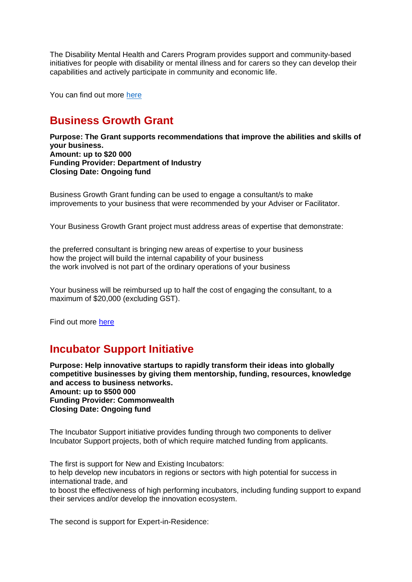The Disability Mental Health and Carers Program provides support and community-based initiatives for people with disability or mental illness and for carers so they can develop their capabilities and actively participate in community and economic life.

You can find out more [here](https://www.communitygrants.gov.au/grants/individual-placement-and-support-ips-program)

### **Business Growth Grant**

**Purpose: The Grant supports recommendations that improve the abilities and skills of your business. Amount: up to \$20 000 Funding Provider: Department of Industry Closing Date: Ongoing fund**

Business Growth Grant funding can be used to engage a consultant/s to make improvements to your business that were recommended by your Adviser or Facilitator.

Your Business Growth Grant project must address areas of expertise that demonstrate:

the preferred consultant is bringing new areas of expertise to your business how the project will build the internal capability of your business the work involved is not part of the ordinary operations of your business

Your business will be reimbursed up to half the cost of engaging the consultant, to a maximum of \$20,000 (excluding GST).

Find out more [here](https://www.business.gov.au/Grants-and-Programs/Business-Growth-Grants)

### **Incubator Support Initiative**

**Purpose: Help innovative startups to rapidly transform their ideas into globally competitive businesses by giving them mentorship, funding, resources, knowledge and access to business networks. Amount: up to \$500 000 Funding Provider: Commonwealth Closing Date: Ongoing fund**

The Incubator Support initiative provides funding through two components to deliver Incubator Support projects, both of which require matched funding from applicants.

The first is support for New and Existing Incubators: to help develop new incubators in regions or sectors with high potential for success in international trade, and

to boost the effectiveness of high performing incubators, including funding support to expand their services and/or develop the innovation ecosystem.

The second is support for Expert-in-Residence: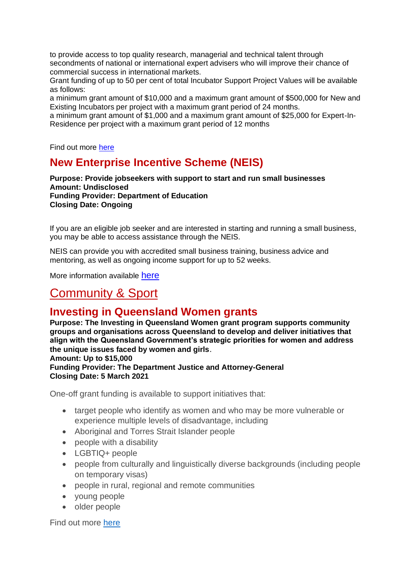to provide access to top quality research, managerial and technical talent through secondments of national or international expert advisers who will improve their chance of commercial success in international markets.

Grant funding of up to 50 per cent of total Incubator Support Project Values will be available as follows:

a minimum grant amount of \$10,000 and a maximum grant amount of \$500,000 for New and Existing Incubators per project with a maximum grant period of 24 months.

a minimum grant amount of \$1,000 and a maximum grant amount of \$25,000 for Expert-In-Residence per project with a maximum grant period of 12 months

Find out more [here](http://www.innovation.gov.au/page/incubator-support-programme)

### **New Enterprise Incentive Scheme (NEIS)**

**Purpose: Provide jobseekers with support to start and run small businesses Amount: Undisclosed Funding Provider: Department of Education Closing Date: Ongoing** 

If you are an eligible job seeker and are interested in starting and running a small business, you may be able to access assistance through the NEIS.

NEIS can provide you with accredited small business training, business advice and mentoring, as well as ongoing income support for up to 52 weeks.

More information available [here](http://employment.gov.au/help-available-and-eligibility-neis)

# Community & Sport

### **Investing in Queensland Women grants**

**Purpose: The Investing in Queensland Women grant program supports community groups and organisations across Queensland to develop and deliver initiatives that align with the Queensland Government's strategic priorities for women and address the unique issues faced by women and girls**. **Amount: Up to \$15,000** 

**Funding Provider: The Department Justice and Attorney-General Closing Date: 5 March 2021**

One-off grant funding is available to support initiatives that:

- target people who identify as women and who may be more vulnerable or experience multiple levels of disadvantage, including
- Aboriginal and Torres Strait Islander people
- people with a disability
- LGBTIQ+ people
- people from culturally and linguistically diverse backgrounds (including people on temporary visas)
- people in rural, regional and remote communities
- young people
- older people

Find out more [here](https://www.justice.qld.gov.au/initiatives/grants-for-queensland-women)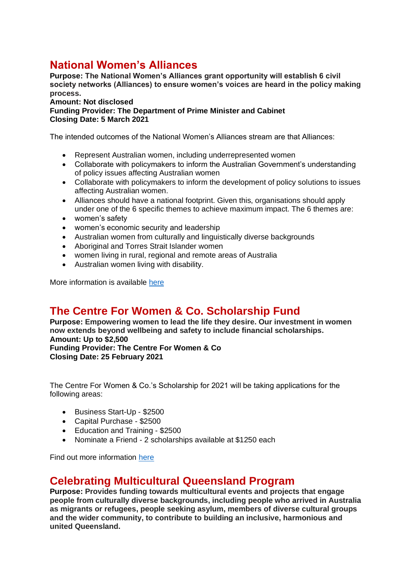# **National Women's Alliances**

**Purpose: The National Women's Alliances grant opportunity will establish 6 civil society networks (Alliances) to ensure women's voices are heard in the policy making process.**

**Amount: Not disclosed Funding Provider: The Department of Prime Minister and Cabinet Closing Date: 5 March 2021**

The intended outcomes of the National Women's Alliances stream are that Alliances:

- Represent Australian women, including underrepresented women
- Collaborate with policymakers to inform the Australian Government's understanding of policy issues affecting Australian women
- Collaborate with policymakers to inform the development of policy solutions to issues affecting Australian women.
- Alliances should have a national footprint. Given this, organisations should apply under one of the 6 specific themes to achieve maximum impact. The 6 themes are:
- women's safety
- women's economic security and leadership
- Australian women from culturally and linguistically diverse backgrounds
- Aboriginal and Torres Strait Islander women
- women living in rural, regional and remote areas of Australia
- Australian women living with disability.

More information is available [here](https://www.communitygrants.gov.au/grants/national-women’s-alliances)

### **The Centre For Women & Co. Scholarship Fund**

**Purpose: Empowering women to lead the life they desire. Our investment in women now extends beyond wellbeing and safety to include financial scholarships. Amount: Up to \$2,500 Funding Provider: The Centre For Women & Co Closing Date: 25 February 2021**

The Centre For Women & Co.'s Scholarship for 2021 will be taking applications for the following areas:

- Business Start-Up \$2500
- Capital Purchase \$2500
- Education and Training \$2500
- Nominate a Friend 2 scholarships available at \$1250 each

Find out more information [here](https://centreforwomen.org.au/scholarships)

### **Celebrating Multicultural Queensland Program**

**Purpose: Provides funding towards multicultural events and projects that engage people from culturally diverse backgrounds, including people who arrived in Australia as migrants or refugees, people seeking asylum, members of diverse cultural groups and the wider community, to contribute to building an inclusive, harmonious and united Queensland.**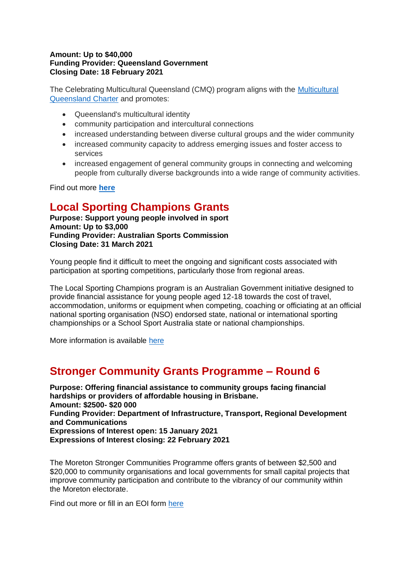#### **Amount: Up to \$40,000 Funding Provider: Queensland Government Closing Date: 18 February 2021**

The Celebrating Multicultural Queensland (CMQ) program aligns with the [Multicultural](https://www.dlgrma.qld.gov.au/multicultural-affairs/policy-and-governance/multicultural-queensland-charter)  [Queensland Charter](https://www.dlgrma.qld.gov.au/multicultural-affairs/policy-and-governance/multicultural-queensland-charter) and promotes:

- Queensland's multicultural identity
- community participation and intercultural connections
- increased understanding between diverse cultural groups and the wider community
- increased community capacity to address emerging issues and foster access to services
- increased engagement of general community groups in connecting and welcoming people from culturally diverse backgrounds into a wide range of community activities.

Find out more **[here](https://www.dlgrma.qld.gov.au/multicultural-affairs/programs-and-initiatives/celebrating-multicultural-qld-program)**

### **Local Sporting Champions Grants**

**Purpose: Support young people involved in sport Amount: Up to \$3,000 Funding Provider: Australian Sports Commission Closing Date: 31 March 2021**

Young people find it difficult to meet the ongoing and significant costs associated with participation at sporting competitions, particularly those from regional areas.

The Local Sporting Champions program is an Australian Government initiative designed to provide financial assistance for young people aged 12-18 towards the cost of travel, accommodation, uniforms or equipment when competing, coaching or officiating at an official national sporting organisation (NSO) endorsed state, national or international sporting championships or a School Sport Australia state or national championships.

More information is available [here](https://www.sportaus.gov.au/grants_and_funding/local_sporting_champions)

# **Stronger Community Grants Programme – Round 6**

**Purpose: Offering financial assistance to community groups facing financial hardships or providers of affordable housing in Brisbane. Amount: \$2500- \$20 000 Funding Provider: Department of Infrastructure, Transport, Regional Development and Communications Expressions of Interest open: 15 January 2021 Expressions of Interest closing: 22 February 2021**

The Moreton Stronger Communities Programme offers grants of between \$2,500 and \$20,000 to community organisations and local governments for small capital projects that improve community participation and contribute to the vibrancy of our community within the [Moreton electorate.](https://d3n8a8pro7vhmx.cloudfront.net/moretonalp/pages/406/attachments/original/1498354249/2009-aec-a4-map-qld-moreton-v2.pdf?1498354249)

Find out more or fill in an EOI form [here](https://www.grahamperrett.net.au/local/stronger-communities-programme-round-6/)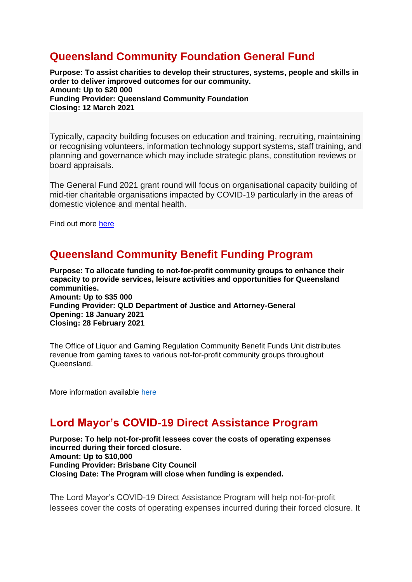## **Queensland Community Foundation General Fund**

**Purpose: To assist charities to develop their structures, systems, people and skills in order to deliver improved outcomes for our community. Amount: Up to \$20 000 Funding Provider: Queensland Community Foundation Closing: 12 March 2021**

Typically, capacity building focuses on education and training, recruiting, maintaining or recognising volunteers, information technology support systems, staff training, and planning and governance which may include strategic plans, constitution reviews or board appraisals.

The General Fund 2021 grant round will focus on organisational capacity building of mid-tier charitable organisations impacted by COVID-19 particularly in the areas of domestic violence and mental health.

Find out more [here](https://qcf.org.au/grants/general-fund-grant-making/)

# **Queensland Community Benefit Funding Program**

**Purpose: To allocate funding to not-for-profit community groups to enhance their capacity to provide services, leisure activities and opportunities for Queensland communities. Amount: Up to \$35 000 Funding Provider: QLD Department of Justice and Attorney-General Opening: 18 January 2021 Closing: 28 February 2021**

The Office of Liquor and Gaming Regulation Community Benefit Funds Unit distributes revenue from gaming taxes to various not-for-profit community groups throughout Queensland.

More information available [here](https://www.justice.qld.gov.au/initiatives/community-grants)

### **Lord Mayor's COVID-19 Direct Assistance Program**

**Purpose: To help not-for-profit lessees cover the costs of operating expenses incurred during their forced closure. Amount: Up to \$10,000 Funding Provider: Brisbane City Council Closing Date: The Program will close when funding is expended.**

The Lord Mayor's COVID-19 Direct Assistance Program will help not-for-profit lessees cover the costs of operating expenses incurred during their forced closure. It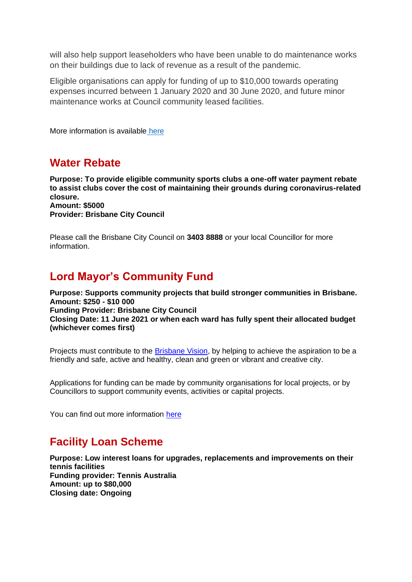will also help support leaseholders who have been unable to do maintenance works on their buildings due to lack of revenue as a result of the pandemic.

Eligible organisations can apply for funding of up to \$10,000 towards operating expenses incurred between 1 January 2020 and 30 June 2020, and future minor maintenance works at Council community leased facilities.

More information is available [here](https://www.brisbane.qld.gov.au/community-and-safety/grants-awards-and-sponsorships/lord-mayors-covid-19-direct-assistance-program)

### **Water Rebate**

**Purpose: To provide eligible community sports clubs a one-off water payment rebate to assist clubs cover the cost of maintaining their grounds during coronavirus-related closure.**

**Amount: \$5000 Provider: Brisbane City Council**

Please call the Brisbane City Council on **3403 8888** or your local Councillor for more information.

# **Lord Mayor's Community Fund**

**Purpose: Supports community projects that build stronger communities in Brisbane. Amount: \$250 - \$10 000 Funding Provider: Brisbane City Council Closing Date: 11 June 2021 or when each ward has fully spent their allocated budget (whichever comes first)**

Projects must contribute to the [Brisbane Vision,](http://www.brisbane.qld.gov.au/about-council/governance-strategy/vision-strategy/brisbane-vision) by helping to achieve the aspiration to be a friendly and safe, active and healthy, clean and green or vibrant and creative city.

Applications for funding can be made by community organisations for local projects, or by Councillors to support community events, activities or capital projects.

You can find out more information [here](https://www.brisbane.qld.gov.au/community-and-safety/grants-and-awards/community-grants/lord-mayors-community-fund)

### **Facility Loan Scheme**

**Purpose: Low interest loans for upgrades, replacements and improvements on their tennis facilities Funding provider: Tennis Australia Amount: up to \$80,000 Closing date: Ongoing**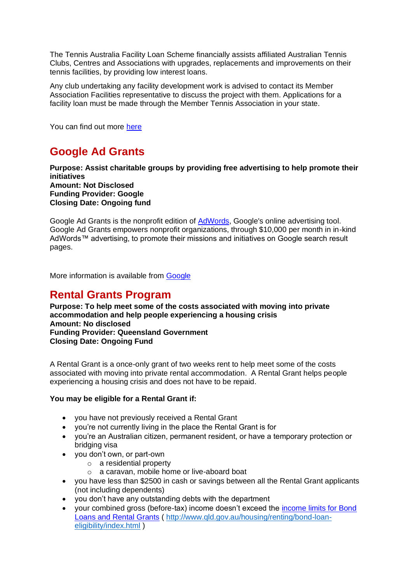The Tennis Australia Facility Loan Scheme financially assists affiliated Australian Tennis Clubs, Centres and Associations with upgrades, replacements and improvements on their tennis facilities, by providing low interest loans.

Any club undertaking any facility development work is advised to contact its Member Association Facilities representative to discuss the project with them. Applications for a facility loan must be made through the Member Tennis Association in your state.

You can find out more [here](http://www.tennis.com.au/clubs/funding-and-facilities/facility-loan)

# **Google Ad Grants**

**Purpose: Assist charitable groups by providing free advertising to help promote their initiatives Amount: Not Disclosed Funding Provider: Google Closing Date: Ongoing fund**

Google Ad Grants is the nonprofit edition of **AdWords**, Google's online advertising tool. Google Ad Grants empowers nonprofit organizations, through \$10,000 per month in in-kind AdWords™ advertising, to promote their missions and initiatives on Google search result pages.

More information is available from [Google](https://www.google.com.au/grants/)

### **Rental Grants Program**

**Purpose: To help meet some of the costs associated with moving into private accommodation and help people experiencing a housing crisis Amount: No disclosed Funding Provider: Queensland Government Closing Date: Ongoing Fund** 

A Rental Grant is a once-only grant of two weeks rent to help meet some of the costs associated with moving into private rental accommodation. A Rental Grant helps people experiencing a housing crisis and does not have to be repaid.

#### **You may be eligible for a Rental Grant if:**

- you have not previously received a Rental Grant
- you're not currently living in the place the Rental Grant is for
- you're an Australian citizen, permanent resident, or have a temporary protection or bridging visa
- you don't own, or part-own
	- $\circ$  a residential property
	- o a caravan, mobile home or live-aboard boat
- you have less than \$2500 in cash or savings between all the Rental Grant applicants (not including dependents)
- you don't have any outstanding debts with the department
- your combined gross (before-tax) income doesn't exceed the [income limits for Bond](http://www.qld.gov.au/housing/renting/bond-loan-eligibility/index.html)  [Loans and Rental Grants](http://www.qld.gov.au/housing/renting/bond-loan-eligibility/index.html) ( [http://www.qld.gov.au/housing/renting/bond-loan](http://www.qld.gov.au/housing/renting/bond-loan-eligibility/index.html)[eligibility/index.html](http://www.qld.gov.au/housing/renting/bond-loan-eligibility/index.html) )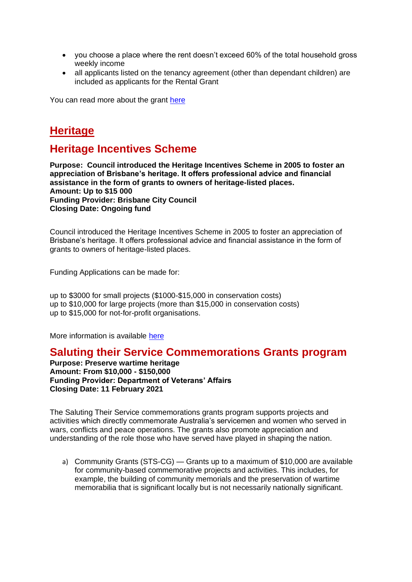- you choose a place where the rent doesn't exceed 60% of the total household gross weekly income
- all applicants listed on the tenancy agreement (other than dependant children) are included as applicants for the Rental Grant

You can read more about the grant [here](http://www.qld.gov.au/housing/renting/rental-grants/)

### **Heritage**

# **Heritage Incentives Scheme**

**Purpose: Council introduced the Heritage Incentives Scheme in 2005 to foster an appreciation of Brisbane's heritage. It offers professional advice and financial assistance in the form of grants to owners of heritage-listed places. Amount: Up to \$15 000 Funding Provider: Brisbane City Council Closing Date: Ongoing fund**

Council introduced the Heritage Incentives Scheme in 2005 to foster an appreciation of Brisbane's heritage. It offers professional advice and financial assistance in the form of grants to owners of heritage-listed places.

Funding Applications can be made for:

up to \$3000 for small projects (\$1000-\$15,000 in conservation costs) up to \$10,000 for large projects (more than \$15,000 in conservation costs) up to \$15,000 for not-for-profit organisations.

More information is available [here](https://www.brisbane.qld.gov.au/planning-and-building/do-i-need-approval/restoring-and-researching-heritage-properties/heritage-incentives-scheme)

### **Saluting their Service Commemorations Grants program**

**Purpose: Preserve wartime heritage Amount: From \$10,000 - \$150,000 Funding Provider: Department of Veterans' Affairs Closing Date: 11 February 2021**

The Saluting Their Service commemorations grants program supports projects and activities which directly commemorate Australia's servicemen and women who served in wars, conflicts and peace operations. The grants also promote appreciation and understanding of the role those who have served have played in shaping the nation.

a) Community Grants (STS-CG) — Grants up to a maximum of \$10,000 are available for community-based commemorative projects and activities. This includes, for example, the building of community memorials and the preservation of wartime memorabilia that is significant locally but is not necessarily nationally significant.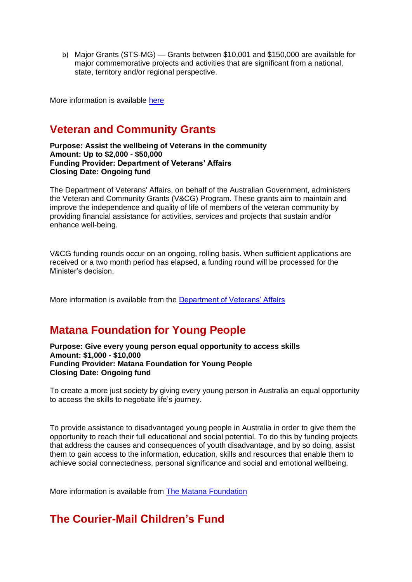b) Major Grants (STS-MG) — Grants between \$10,001 and \$150,000 are available for major commemorative projects and activities that are significant from a national, state, territory and/or regional perspective.

More information is available [here](https://www.dva.gov.au/consultation-and-grants/grants/grant-and-bursary-programs/saluting-their-service-commemorative)

### **Veteran and Community Grants**

#### **Purpose: Assist the wellbeing of Veterans in the community Amount: Up to \$2,000 - \$50,000 Funding Provider: Department of Veterans' Affairs Closing Date: Ongoing fund**

The Department of Veterans' Affairs, on behalf of the Australian Government, administers the Veteran and Community Grants (V&CG) Program. These grants aim to maintain and improve the independence and quality of life of members of the veteran community by providing financial assistance for activities, services and projects that sustain and/or enhance well-being.

V&CG funding rounds occur on an ongoing, rolling basis. When sufficient applications are received or a two month period has elapsed, a funding round will be processed for the Minister's decision.

More information is available from the [Department of Veterans' Affairs](http://www.dva.gov.au/health_and_wellbeing/veterans_community_grants/Pages/index.aspx)

### **Matana Foundation for Young People**

#### **Purpose: Give every young person equal opportunity to access skills Amount: \$1,000 - \$10,000 Funding Provider: Matana Foundation for Young People Closing Date: Ongoing fund**

To create a more just society by giving every young person in Australia an equal opportunity to access the skills to negotiate life's journey.

To provide assistance to disadvantaged young people in Australia in order to give them the opportunity to reach their full educational and social potential. To do this by funding projects that address the causes and consequences of youth disadvantage, and by so doing, assist them to gain access to the information, education, skills and resources that enable them to achieve social connectedness, personal significance and social and emotional wellbeing.

More information is available from [The Matana Foundation](http://matanafoundation.org.au/)

# **The Courier-Mail Children's Fund**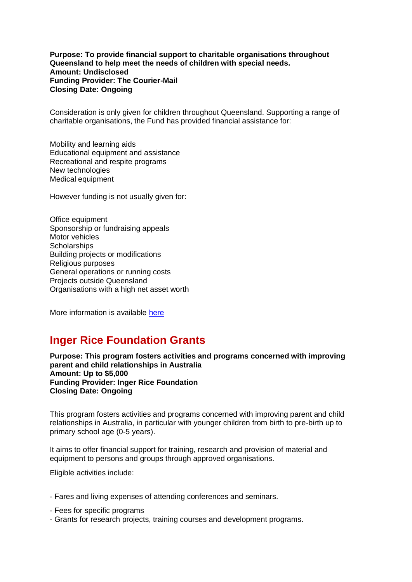**Purpose: To provide financial support to charitable organisations throughout Queensland to help meet the needs of children with special needs. Amount: Undisclosed Funding Provider: The Courier-Mail Closing Date: Ongoing**

Consideration is only given for children throughout Queensland. Supporting a range of charitable organisations, the Fund has provided financial assistance for:

Mobility and learning aids Educational equipment and assistance Recreational and respite programs New technologies Medical equipment

However funding is not usually given for:

Office equipment Sponsorship or fundraising appeals Motor vehicles **Scholarships** Building projects or modifications Religious purposes General operations or running costs Projects outside Queensland Organisations with a high net asset worth

More information is available [here](http://www.couriermail.com.au/extras/children/apply-for-assistance.html)

# **Inger Rice Foundation Grants**

**Purpose: This program fosters activities and programs concerned with improving parent and child relationships in Australia Amount: Up to \$5,000 Funding Provider: Inger Rice Foundation Closing Date: Ongoing**

This program fosters activities and programs concerned with improving parent and child relationships in Australia, in particular with younger children from birth to pre-birth up to primary school age (0-5 years).

It aims to offer financial support for training, research and provision of material and equipment to persons and groups through approved organisations.

Eligible activities include:

- Fares and living expenses of attending conferences and seminars.
- Fees for specific programs
- Grants for research projects, training courses and development programs.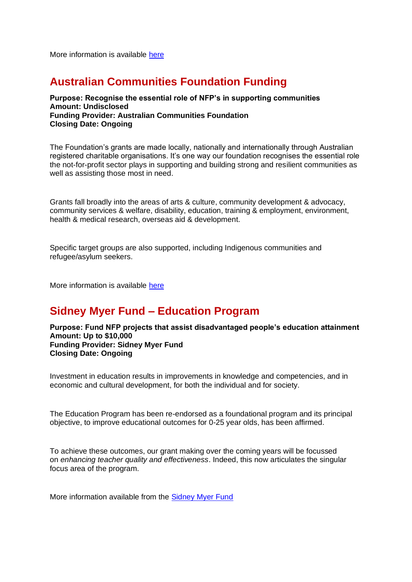More information is available [here](http://community.grantready.com.au/Find_Grants/Search/index.aspx?itemDetails=1359)

### **Australian Communities Foundation Funding**

#### **Purpose: Recognise the essential role of NFP's in supporting communities Amount: Undisclosed Funding Provider: Australian Communities Foundation Closing Date: Ongoing**

The Foundation's grants are made locally, nationally and internationally through Australian registered charitable organisations. It's one way our foundation recognises the essential role the not-for-profit sector plays in supporting and building strong and resilient communities as well as assisting those most in need.

Grants fall broadly into the areas of arts & culture, community development & advocacy, community services & welfare, disability, education, training & employment, environment, health & medical research, overseas aid & development.

Specific target groups are also supported, including Indigenous communities and refugee/asylum seekers.

More information is available [here](http://www.communityfoundation.org.au/grantmaking)

### **Sidney Myer Fund – Education Program**

**Purpose: Fund NFP projects that assist disadvantaged people's education attainment Amount: Up to \$10,000 Funding Provider: Sidney Myer Fund Closing Date: Ongoing** 

Investment in education results in improvements in knowledge and competencies, and in economic and cultural development, for both the individual and for society.

The Education Program has been re-endorsed as a foundational program and its principal objective, to improve educational outcomes for 0-25 year olds, has been affirmed.

To achieve these outcomes, our grant making over the coming years will be focussed on *enhancing teacher quality and effectiveness*. Indeed, this now articulates the singular focus area of the program.

More information available from the [Sidney Myer Fund](https://myerfoundation.org.au/grants/education/small-grants/)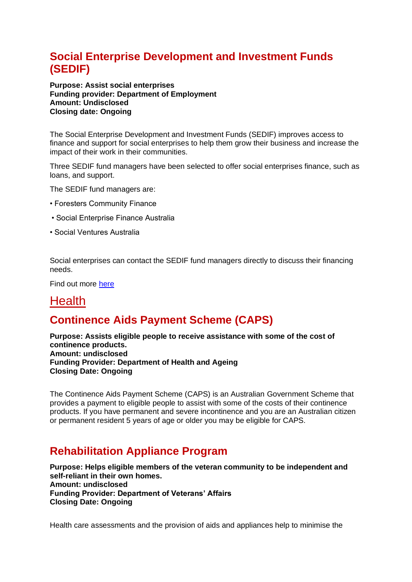# **Social Enterprise Development and Investment Funds (SEDIF)**

**Purpose: Assist social enterprises Funding provider: Department of Employment Amount: Undisclosed Closing date: Ongoing** 

The Social Enterprise Development and Investment Funds (SEDIF) improves access to finance and support for social enterprises to help them grow their business and increase the impact of their work in their communities.

Three SEDIF fund managers have been selected to offer social enterprises finance, such as loans, and support.

The SEDIF fund managers are:

- Foresters Community Finance
- Social Enterprise Finance Australia
- Social Ventures Australia

Social enterprises can contact the SEDIF fund managers directly to discuss their financing needs.

Find out more [here](https://www.employment.gov.au/social-enterprise-development-and-investment-funds)

# Health

### **Continence Aids Payment Scheme (CAPS)**

**Purpose: Assists eligible people to receive assistance with some of the cost of continence products. Amount: undisclosed Funding Provider: Department of Health and Ageing Closing Date: Ongoing** 

The Continence Aids Payment Scheme (CAPS) is an Australian Government Scheme that provides a payment to eligible people to assist with some of the costs of their continence products. If you have permanent and severe incontinence and you are an Australian citizen or permanent resident 5 years of age or older you may be eligible for CAPS.

# **Rehabilitation Appliance Program**

**Purpose: Helps eligible members of the veteran community to be independent and self-reliant in their own homes. Amount: undisclosed Funding Provider: Department of Veterans' Affairs Closing Date: Ongoing** 

Health care assessments and the provision of aids and appliances help to minimise the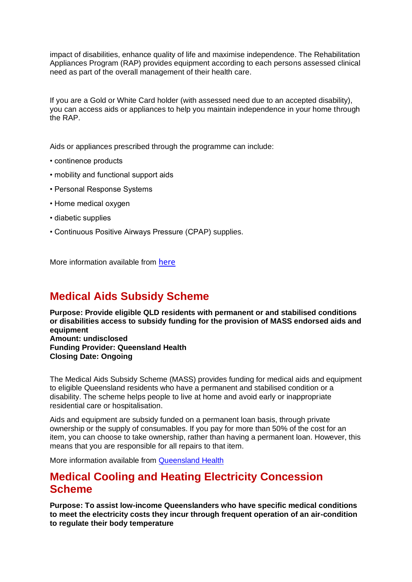impact of disabilities, enhance quality of life and maximise independence. The Rehabilitation Appliances Program (RAP) provides equipment according to each persons assessed clinical need as part of the overall management of their health care.

If you are a Gold or White Card holder (with assessed need due to an accepted disability), you can access aids or appliances to help you maintain independence in your home through the RAP.

Aids or appliances prescribed through the programme can include:

- continence products
- mobility and functional support aids
- Personal Response Systems
- Home medical oxygen
- diabetic supplies
- Continuous Positive Airways Pressure (CPAP) supplies.

More information available from [here](http://www.dva.gov.au/health-and-wellbeing/home-and-care/rehabilitation-appliances-program-rap)

# **Medical Aids Subsidy Scheme**

**Purpose: Provide eligible QLD residents with permanent or and stabilised conditions or disabilities access to subsidy funding for the provision of MASS endorsed aids and equipment Amount: undisclosed Funding Provider: Queensland Health Closing Date: Ongoing** 

The Medical Aids Subsidy Scheme (MASS) provides funding for medical aids and equipment to eligible Queensland residents who have a permanent and stabilised condition or a disability. The scheme helps people to live at home and avoid early or inappropriate residential care or hospitalisation.

Aids and equipment are subsidy funded on a permanent loan basis, through private ownership or the supply of consumables. If you pay for more than 50% of the cost for an item, you can choose to take ownership, rather than having a permanent loan. However, this means that you are responsible for all repairs to that item.

More information available from [Queensland Health](https://www.health.qld.gov.au/mass/subsidy-schemes/mass.asp)

### **Medical Cooling and Heating Electricity Concession Scheme**

**Purpose: To assist low-income Queenslanders who have specific medical conditions to meet the electricity costs they incur through frequent operation of an air-condition to regulate their body temperature**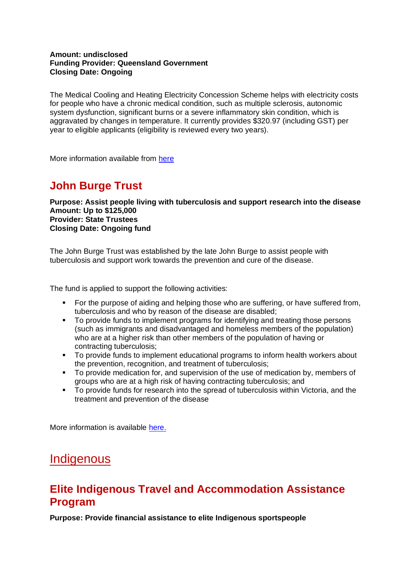#### **Amount: undisclosed Funding Provider: Queensland Government Closing Date: Ongoing**

The Medical Cooling and Heating Electricity Concession Scheme helps with electricity costs for people who have a chronic medical condition, such as multiple sclerosis, autonomic system dysfunction, significant burns or a severe inflammatory skin condition, which is aggravated by changes in temperature. It currently provides \$320.97 (including GST) per year to eligible applicants (eligibility is reviewed every two years).

More information available from [here](https://www.qld.gov.au/community/cost-of-living-support/medical-cooling-heating-electricity-concession-scheme/)

# **John Burge Trust**

**Purpose: Assist people living with tuberculosis and support research into the disease Amount: Up to \$125,000 Provider: State Trustees Closing Date: Ongoing fund**

The John Burge Trust was established by the late John Burge to assist people with tuberculosis and support work towards the prevention and cure of the disease.

The fund is applied to support the following activities:

- For the purpose of aiding and helping those who are suffering, or have suffered from, tuberculosis and who by reason of the disease are disabled;
- To provide funds to implement programs for identifying and treating those persons (such as immigrants and disadvantaged and homeless members of the population) who are at a higher risk than other members of the population of having or contracting tuberculosis;
- To provide funds to implement educational programs to inform health workers about the prevention, recognition, and treatment of tuberculosis;
- To provide medication for, and supervision of the use of medication by, members of groups who are at a high risk of having contracting tuberculosis; and
- **•** To provide funds for research into the spread of tuberculosis within Victoria, and the treatment and prevention of the disease

More information is available [here.](http://research.swinburne.edu.au/grants-contracts/funding/opportunities/fund.php?id=4853)

# **Indigenous**

# **Elite Indigenous Travel and Accommodation Assistance Program**

**Purpose: Provide financial assistance to elite Indigenous sportspeople**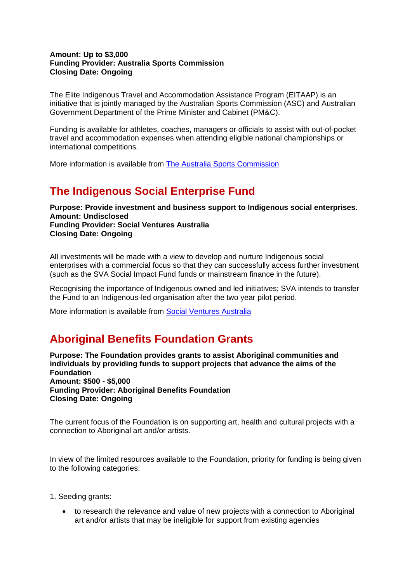#### **Amount: Up to \$3,000 Funding Provider: Australia Sports Commission Closing Date: Ongoing**

The Elite Indigenous Travel and Accommodation Assistance Program (EITAAP) is an initiative that is jointly managed by the Australian Sports Commission (ASC) and Australian Government Department of the Prime Minister and Cabinet (PM&C).

Funding is available for athletes, coaches, managers or officials to assist with out-of-pocket travel and accommodation expenses when attending eligible national championships or international competitions.

More information is available from [The Australia Sports Commission](http://www.ausport.gov.au/participating/indigenous/eitaap)

### **The Indigenous Social Enterprise Fund**

**Purpose: Provide investment and business support to Indigenous social enterprises. Amount: Undisclosed Funding Provider: Social Ventures Australia Closing Date: Ongoing** 

All investments will be made with a view to develop and nurture Indigenous social enterprises with a commercial focus so that they can successfully access further investment (such as the SVA Social Impact Fund funds or mainstream finance in the future).

Recognising the importance of Indigenous owned and led initiatives; SVA intends to transfer the Fund to an Indigenous-led organisation after the two year pilot period.

More information is available from [Social Ventures Australia](http://socialventures.com.au/work/isef/) 

# **Aboriginal Benefits Foundation Grants**

**Purpose: The Foundation provides grants to assist Aboriginal communities and individuals by providing funds to support projects that advance the aims of the Foundation Amount: \$500 - \$5,000 Funding Provider: Aboriginal Benefits Foundation Closing Date: Ongoing** 

The current focus of the Foundation is on supporting art, health and cultural projects with a connection to Aboriginal art and/or artists.

In view of the limited resources available to the Foundation, priority for funding is being given to the following categories:

1. Seeding grants:

• to research the relevance and value of new projects with a connection to Aboriginal art and/or artists that may be ineligible for support from existing agencies